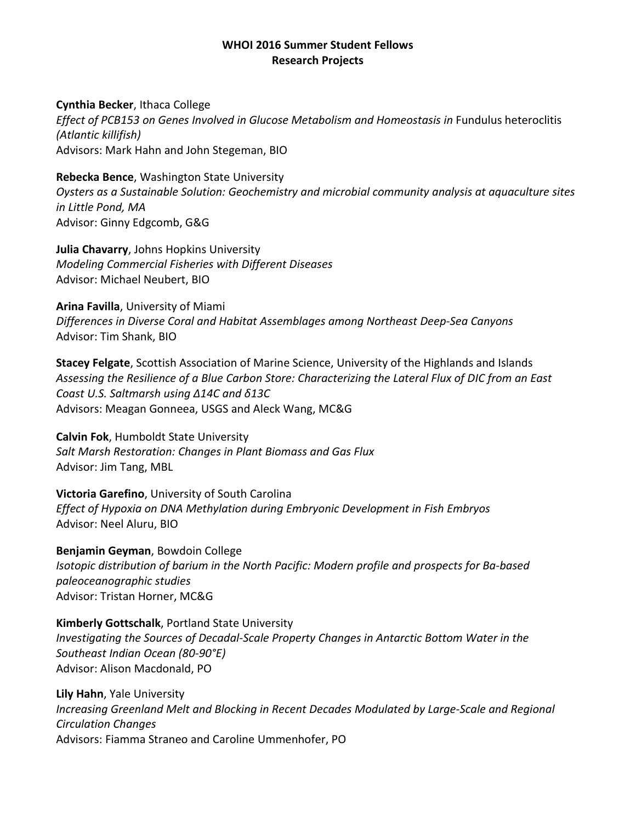**Cynthia Becker**, Ithaca College **Effect of PCB153 on Genes Involved in Glucose Metabolism and Homeostasis in Fundulus heteroclitis** *(Atlantic killifish)* Advisors: Mark Hahn and John Stegeman, BIO

**Rebecka Bence**, Washington State University *Oysters as a Sustainable Solution: Geochemistry and microbial community analysis at aquaculture sites in Little Pond, MA* Advisor: Ginny Edgcomb, G&G

**Julia Chavarry**, Johns Hopkins University *Modeling Commercial Fisheries with Different Diseases* Advisor: Michael Neubert, BIO

**Arina Favilla**, University of Miami *Differences in Diverse Coral and Habitat Assemblages among Northeast Deep-Sea Canyons* Advisor: Tim Shank, BIO

**Stacey Felgate**, Scottish Association of Marine Science, University of the Highlands and Islands *Assessing the Resilience of a Blue Carbon Store: Characterizing the Lateral Flux of DIC from an East Coast U.S. Saltmarsh using Δ14C and δ13C* Advisors: Meagan Gonneea, USGS and Aleck Wang, MC&G

**Calvin Fok**, Humboldt State University *Salt Marsh Restoration: Changes in Plant Biomass and Gas Flux* Advisor: Jim Tang, MBL

**Victoria Garefino**, University of South Carolina *Effect of Hypoxia on DNA Methylation during Embryonic Development in Fish Embryos* Advisor: Neel Aluru, BIO

**Benjamin Geyman**, Bowdoin College *Isotopic distribution of barium in the North Pacific: Modern profile and prospects for Ba-based paleoceanographic studies* Advisor: Tristan Horner, MC&G

**Kimberly Gottschalk**, Portland State University *Investigating the Sources of Decadal-Scale Property Changes in Antarctic Bottom Water in the Southeast Indian Ocean (80-90°E)* Advisor: Alison Macdonald, PO

**Lily Hahn**, Yale University *Increasing Greenland Melt and Blocking in Recent Decades Modulated by Large-Scale and Regional Circulation Changes* Advisors: Fiamma Straneo and Caroline Ummenhofer, PO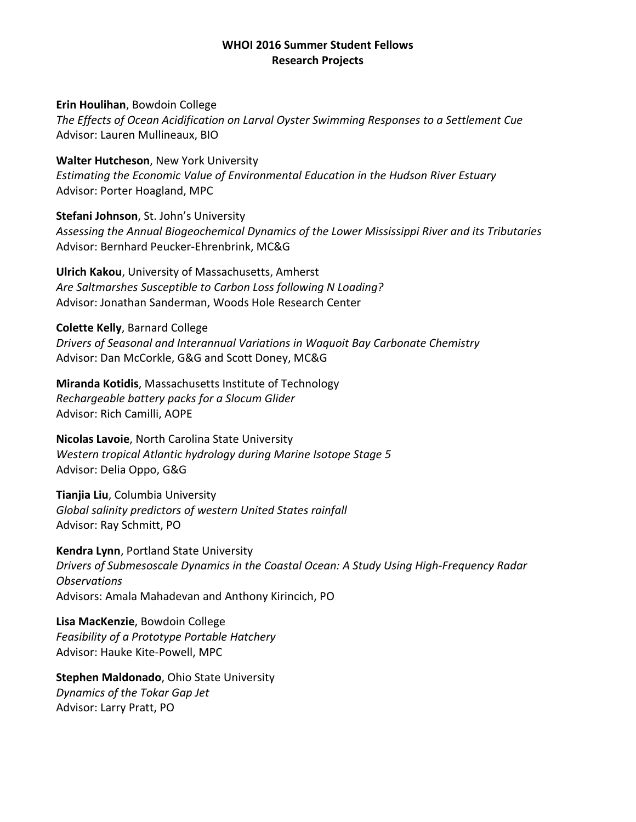#### **Erin Houlihan**, Bowdoin College

*The Effects of Ocean Acidification on Larval Oyster Swimming Responses to a Settlement Cue* Advisor: Lauren Mullineaux, BIO

**Walter Hutcheson**, New York University *Estimating the Economic Value of Environmental Education in the Hudson River Estuary* Advisor: Porter Hoagland, MPC

**Stefani Johnson**, St. John's University *Assessing the Annual Biogeochemical Dynamics of the Lower Mississippi River and its Tributaries* Advisor: Bernhard Peucker-Ehrenbrink, MC&G

**Ulrich Kakou**, University of Massachusetts, Amherst *Are Saltmarshes Susceptible to Carbon Loss following N Loading?* Advisor: Jonathan Sanderman, Woods Hole Research Center

**Colette Kelly**, Barnard College *Drivers of Seasonal and Interannual Variations in Waquoit Bay Carbonate Chemistry* Advisor: Dan McCorkle, G&G and Scott Doney, MC&G

**Miranda Kotidis**, Massachusetts Institute of Technology *Rechargeable battery packs for a Slocum Glider* Advisor: Rich Camilli, AOPE

**Nicolas Lavoie**, North Carolina State University *Western tropical Atlantic hydrology during Marine Isotope Stage 5* Advisor: Delia Oppo, G&G

**Tianjia Liu**, Columbia University *Global salinity predictors of western United States rainfall* Advisor: Ray Schmitt, PO

**Kendra Lynn**, Portland State University *Drivers of Submesoscale Dynamics in the Coastal Ocean: A Study Using High-Frequency Radar Observations* Advisors: Amala Mahadevan and Anthony Kirincich, PO

**Lisa MacKenzie**, Bowdoin College *Feasibility of a Prototype Portable Hatchery* Advisor: Hauke Kite-Powell, MPC

**Stephen Maldonado**, Ohio State University *Dynamics of the Tokar Gap Jet* Advisor: Larry Pratt, PO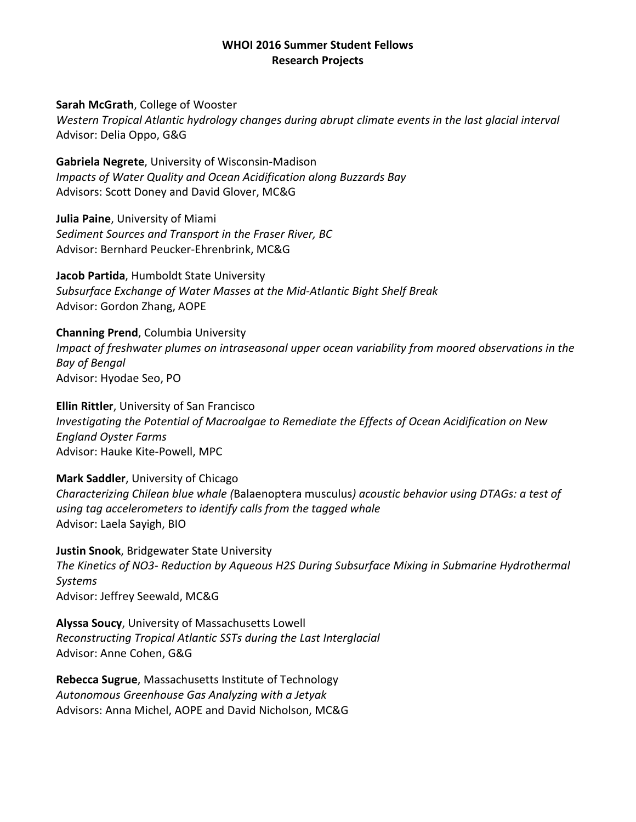#### **Sarah McGrath**, College of Wooster

*Western Tropical Atlantic hydrology changes during abrupt climate events in the last glacial interval* Advisor: Delia Oppo, G&G

**Gabriela Negrete**, University of Wisconsin-Madison *Impacts of Water Quality and Ocean Acidification along Buzzards Bay* Advisors: Scott Doney and David Glover, MC&G

**Julia Paine**, University of Miami *Sediment Sources and Transport in the Fraser River, BC* Advisor: Bernhard Peucker-Ehrenbrink, MC&G

**Jacob Partida**, Humboldt State University *Subsurface Exchange of Water Masses at the Mid-Atlantic Bight Shelf Break* Advisor: Gordon Zhang, AOPE

**Channing Prend**, Columbia University *Impact of freshwater plumes on intraseasonal upper ocean variability from moored observations in the Bay of Bengal* Advisor: Hyodae Seo, PO

**Ellin Rittler**, University of San Francisco *Investigating the Potential of Macroalgae to Remediate the Effects of Ocean Acidification on New England Oyster Farms* Advisor: Hauke Kite-Powell, MPC

**Mark Saddler**, University of Chicago *Characterizing Chilean blue whale (*Balaenoptera musculus*) acoustic behavior using DTAGs: a test of using tag accelerometers to identify calls from the tagged whale* Advisor: Laela Sayigh, BIO

**Justin Snook**, Bridgewater State University *The Kinetics of NO3- Reduction by Aqueous H2S During Subsurface Mixing in Submarine Hydrothermal Systems* Advisor: Jeffrey Seewald, MC&G

**Alyssa Soucy**, University of Massachusetts Lowell *Reconstructing Tropical Atlantic SSTs during the Last Interglacial* Advisor: Anne Cohen, G&G

**Rebecca Sugrue**, Massachusetts Institute of Technology *Autonomous Greenhouse Gas Analyzing with a Jetyak* Advisors: Anna Michel, AOPE and David Nicholson, MC&G